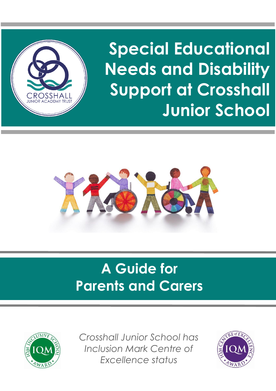

**Special Educational Needs and Disability Support at Crosshall Junior School**



# **A Guide for Parents and Carers**



*Crosshall Junior School has Inclusion Mark Centre of Excellence status*

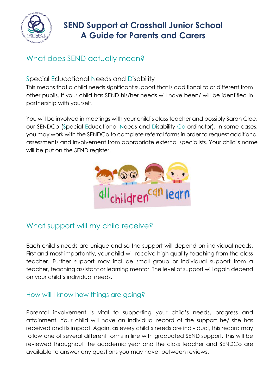

# **SEND Support at Crosshall Junior School A Guide for Parents and Carers**

# What does SEND actually mean?

#### Special Educational Needs and Disability

This means that a child needs significant support that is additional to or different from other pupils. If your child has SEND his/her needs will have been/ will be identified in partnership with yourself.

You will be involved in meetings with your child's class teacher and possibly Sarah Clee, our SENDCo (Special Educational Needs and Disability Co-ordinator). In some cases, you may work with the SENDCo to complete referral forms in order to request additional assessments and involvement from appropriate external specialists. Your child's name will be put on the SEND register.



# What support will my child receive?

Each child's needs are unique and so the support will depend on individual needs. First and most importantly, your child will receive high quality teaching from the class teacher. Further support may include small group or individual support from a teacher, teaching assistant or learning mentor. The level of support will again depend on your child's individual needs.

#### How will I know how things are going?

Parental involvement is vital to supporting your child's needs, progress and attainment. Your child will have an individual record of the support he/ she has received and its impact. Again, as every child's needs are individual, this record may follow one of several different forms in line with graduated SEND support. This will be reviewed throughout the academic year and the class teacher and SENDCo are available to answer any questions you may have, between reviews.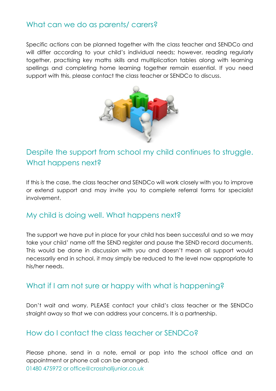### What can we do as parents/ carers?

Specific actions can be planned together with the class teacher and SENDCo and will differ according to your child's individual needs; however, reading regularly together, practising key maths skills and multiplication tables along with learning spellings and completing home learning together remain essential. If you need support with this, please contact the class teacher or SENDCo to discuss.



# Despite the support from school my child continues to struggle. What happens next?

If this is the case, the class teacher and SENDCo will work closely with you to improve or extend support and may invite you to complete referral forms for specialist involvement.

#### My child is doing well. What happens next?

The support we have put in place for your child has been successful and so we may take your child' name off the SEND register and pause the SEND record documents. This would be done in discussion with you and doesn't mean all support would necessarily end in school, it may simply be reduced to the level now appropriate to his/her needs.

#### What if I am not sure or happy with what is happening?

Don't wait and worry. PLEASE contact your child's class teacher or the SENDCo straight away so that we can address your concerns. It is a partnership.

#### How do I contact the class teacher or SENDCo?

Please phone, send in a note, email or pop into the school office and an appointment or phone call can be arranged. 01480 475972 or office@crosshalljunior.co.uk